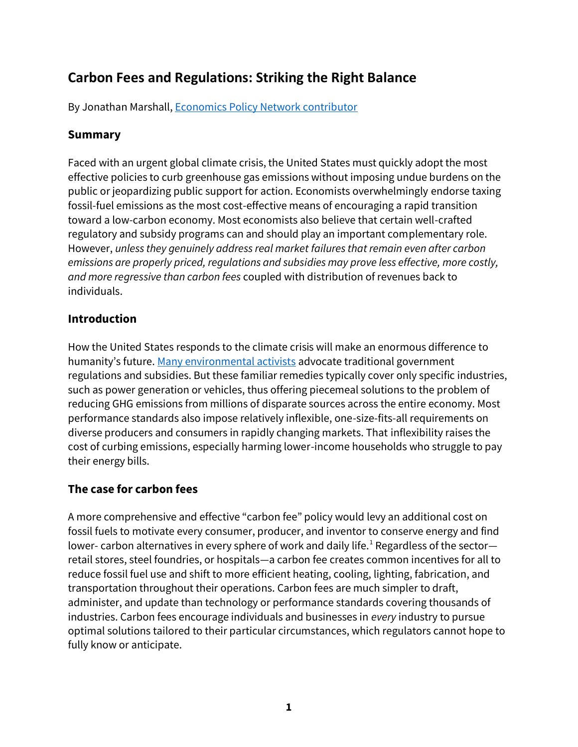# **Carbon Fees and Regulations: Striking the Right Balance**

By Jonathan Marshall[, Economics Policy Network contributor](https://community.citizensclimate.org/groups/home/1772)

# **Summary**

Faced with an urgent global climate crisis, the United States must quickly adopt the most effective policies to curb greenhouse gas emissions without imposing undue burdens on the public or jeopardizing public support for action. Economists overwhelmingly endorse taxing fossil-fuel emissions as the most cost-effective means of encouraging a rapid transition toward a low-carbon economy. Most economists also believe that certain well-crafted regulatory and subsidy programs can and should play an important complementary role. However, *unless they genuinely address real market failures that remain even after carbon emissions are properly priced, regulations and subsidies may prove less effective, more costly, and more regressive than carbon fees* coupled with distribution of revenues back to individuals.

## **Introduction**

How the United States responds to the climate crisis will make an enormous difference to humanity's future. [Many environmental activists](https://thehill.com/opinion/energy-environment/431189-role-of-carbon-tax-in-green-new-deal) advocate traditional government regulations and subsidies. But these familiar remedies typically cover only specific industries, such as power generation or vehicles, thus offering piecemeal solutions to the problem of reducing GHG emissions from millions of disparate sources across the entire economy. Most performance standards also impose relatively inflexible, one-size-fits-all requirements on diverse producers and consumers in rapidly changing markets. That inflexibility raises the cost of curbing emissions, especially harming lower-income households who struggle to pay their energy bills.

## **The case for carbon fees**

A more comprehensive and effective "carbon fee" policy would levy an additional cost on fossil fuels to motivate every consumer, producer, and inventor to conserve energy and find lower- carbon alternatives in every sphere of work and daily life.<sup>1</sup> Regardless of the sectorretail stores, steel foundries, or hospitals—a carbon fee creates common incentives for all to reduce fossil fuel use and shift to more efficient heating, cooling, lighting, fabrication, and transportation throughout their operations. Carbon fees are much simpler to draft, administer, and update than technology or performance standards covering thousands of industries. Carbon fees encourage individuals and businesses in *every* industry to pursue optimal solutions tailored to their particular circumstances, which regulators cannot hope to fully know or anticipate.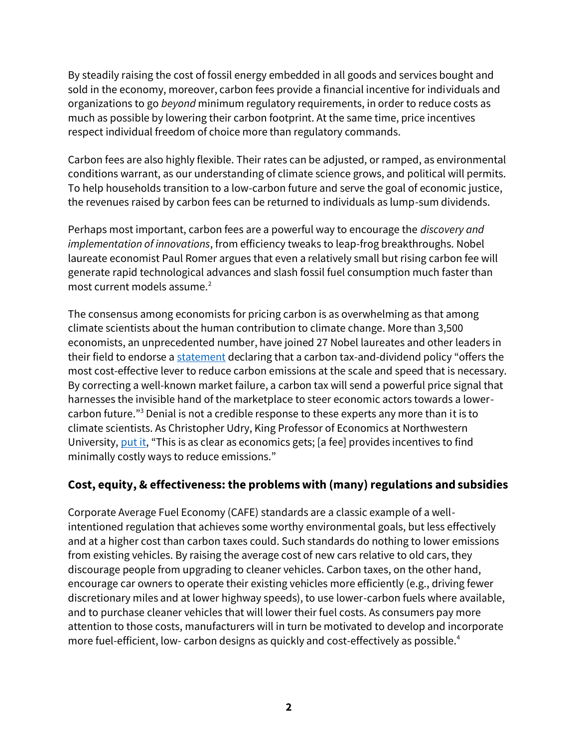By steadily raising the cost of fossil energy embedded in all goods and services bought and sold in the economy, moreover, carbon fees provide a financial incentive for individuals and organizations to go *beyond* minimum regulatory requirements, in order to reduce costs as much as possible by lowering their carbon footprint. At the same time, price incentives respect individual freedom of choice more than regulatory commands.

Carbon fees are also highly flexible. Their rates can be adjusted, or ramped, as environmental conditions warrant, as our understanding of climate science grows, and political will permits. To help households transition to a low-carbon future and serve the goal of economic justice, the revenues raised by carbon fees can be returned to individuals as lump-sum dividends.

Perhaps most important, carbon fees are a powerful way to encourage the *discovery and implementation of innovations*, from efficiency tweaks to leap-frog breakthroughs. Nobel laureate economist Paul Romer argues that even a relatively small but rising carbon fee will generate rapid technological advances and slash fossil fuel consumption much faster than most current models assume. $2$ 

The consensus among economists for pricing carbon is as overwhelming as that among climate scientists about the human contribution to climate change. More than 3,500 economists, an unprecedented number, have joined 27 Nobel laureates and other leaders in their field to endorse [a statement](https://www.clcouncil.org/economists-statement/) declaring that a carbon tax-and-dividend policy "offers the most cost-effective lever to reduce carbon emissions at the scale and speed that is necessary. By correcting a well-known market failure, a carbon tax will send a powerful price signal that harnesses the invisible hand of the marketplace to steer economic actors towards a lowercarbon future."<sup>3</sup> Denial is not a credible response to these experts any more than it is to climate scientists. As Christopher Udry, King Professor of Economics at Northwestern University, [put it](http://www.igmchicago.org/surveys/carbon-tax), "This is as clear as economics gets; [a fee] provides incentives to find minimally costly ways to reduce emissions."

# **Cost, equity, & effectiveness: the problems with (many) regulations and subsidies**

Corporate Average Fuel Economy (CAFE) standards are a classic example of a wellintentioned regulation that achieves some worthy environmental goals, but less effectively and at a higher cost than carbon taxes could. Such standards do nothing to lower emissions from existing vehicles. By raising the average cost of new cars relative to old cars, they discourage people from upgrading to cleaner vehicles. Carbon taxes, on the other hand, encourage car owners to operate their existing vehicles more efficiently (e.g., driving fewer discretionary miles and at lower highway speeds), to use lower-carbon fuels where available, and to purchase cleaner vehicles that will lower their fuel costs. As consumers pay more attention to those costs, manufacturers will in turn be motivated to develop and incorporate more fuel-efficient, low- carbon designs as quickly and cost-effectively as possible.<sup>4</sup>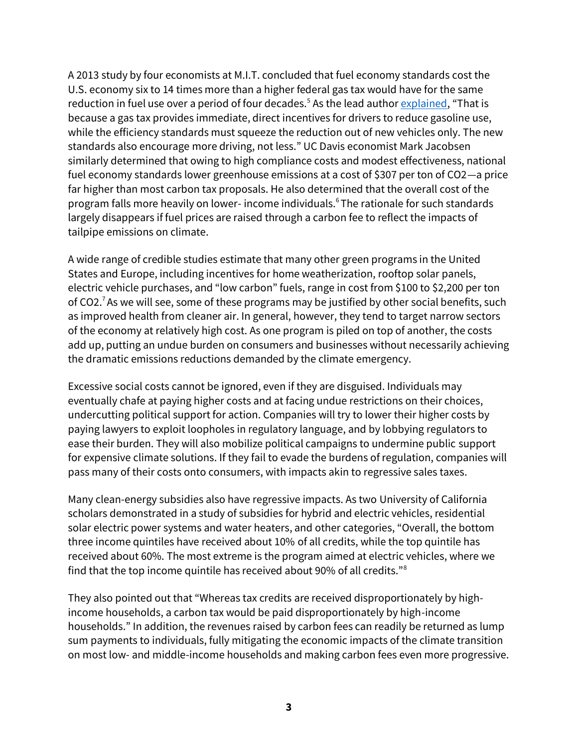A 2013 study by four economists at M.I.T. concluded that fuel economy standards cost the U.S. economy six to 14 times more than a higher federal gas tax would have for the same reduction in fuel use over a period of four decades.<sup>5</sup> As the lead autho[r explained](https://www.nytimes.com/2013/02/22/opinion/the-case-for-a-higher-gasoline-tax.html?partner=rss&emc=rss&_r=1&), "That is because a gas tax provides immediate, direct incentives for drivers to reduce gasoline use, while the efficiency standards must squeeze the reduction out of new vehicles only. The new standards also encourage more driving, not less." UC Davis economist Mark Jacobsen similarly determined that owing to high compliance costs and modest effectiveness, national fuel economy standards lower greenhouse emissions at a cost of \$307 per ton of CO2—a price far higher than most carbon tax proposals. He also determined that the overall cost of the program falls more heavily on lower- income individuals.<sup>6</sup>The rationale for such standards largely disappears if fuel prices are raised through a carbon fee to reflect the impacts of tailpipe emissions on climate.

A wide range of credible studies estimate that many other green programs in the United States and Europe, including incentives for home weatherization, rooftop solar panels, electric vehicle purchases, and "low carbon" fuels, range in cost from \$100 to \$2,200 per ton of CO2.<sup>7</sup> As we will see, some of these programs may be justified by other social benefits, such as improved health from cleaner air. In general, however, they tend to target narrow sectors of the economy at relatively high cost. As one program is piled on top of another, the costs add up, putting an undue burden on consumers and businesses without necessarily achieving the dramatic emissions reductions demanded by the climate emergency.

Excessive social costs cannot be ignored, even if they are disguised. Individuals may eventually chafe at paying higher costs and at facing undue restrictions on their choices, undercutting political support for action. Companies will try to lower their higher costs by paying lawyers to exploit loopholes in regulatory language, and by lobbying regulators to ease their burden. They will also mobilize political campaigns to undermine public support for expensive climate solutions. If they fail to evade the burdens of regulation, companies will pass many of their costs onto consumers, with impacts akin to regressive sales taxes.

Many clean-energy subsidies also have regressive impacts. As two University of California scholars demonstrated in a study of subsidies for hybrid and electric vehicles, residential solar electric power systems and water heaters, and other categories, "Overall, the bottom three income quintiles have received about 10% of all credits, while the top quintile has received about 60%. The most extreme is the program aimed at electric vehicles, where we find that the top income quintile has received about 90% of all credits."<sup>8</sup>

They also pointed out that "Whereas tax credits are received disproportionately by highincome households, a carbon tax would be paid disproportionately by high-income households." In addition, the revenues raised by carbon fees can readily be returned as lump sum payments to individuals, fully mitigating the economic impacts of the climate transition on most low- and middle-income households and making carbon fees even more progressive.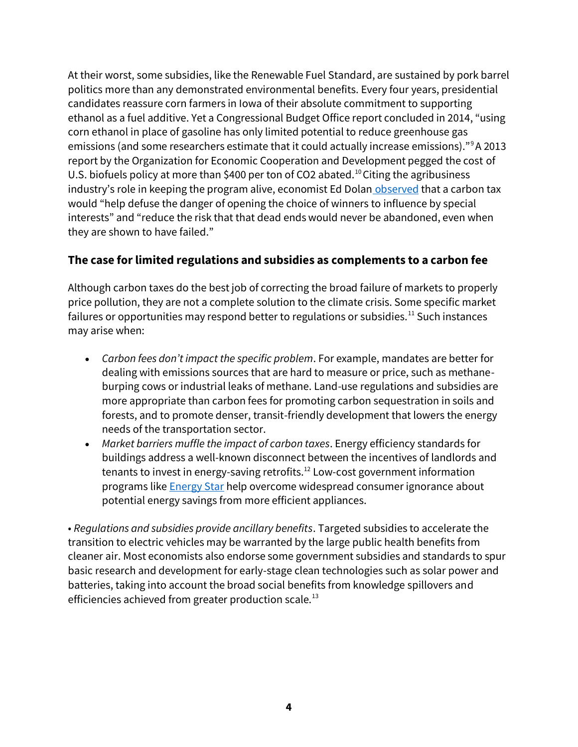At their worst, some subsidies, like the Renewable Fuel Standard, are sustained by pork barrel politics more than any demonstrated environmental benefits. Every four years, presidential candidates reassure corn farmers in Iowa of their absolute commitment to supporting ethanol as a fuel additive. Yet a Congressional Budget Office report concluded in 2014, "using corn ethanol in place of gasoline has only limited potential to reduce greenhouse gas emissions (and some researchers estimate that it could actually increase emissions)."<sup>9</sup>A 2013 report by the Organization for Economic Cooperation and Development pegged the cost of U.S. biofuels policy at more than \$400 per ton of CO2 abated.<sup>10</sup> Citing the agribusiness industry's role in keeping the program alive, economist Ed Dolan [observed](https://www.salon.com/2019/03/12/a-carbon-tax-should-be-the-centerpiece-of-the-green-new-deal/) that a carbon tax would "help defuse the danger of opening the choice of winners to influence by special interests" and "reduce the risk that that dead ends would never be abandoned, even when they are shown to have failed."

## **The case for limited regulations and subsidies as complements to a carbon fee**

Although carbon taxes do the best job of correcting the broad failure of markets to properly price pollution, they are not a complete solution to the climate crisis. Some specific market failures or opportunities may respond better to regulations or subsidies.<sup>11</sup> Such instances may arise when:

- *Carbon fees don't impact the specific problem*. For example, mandates are better for dealing with emissions sources that are hard to measure or price, such as methaneburping cows or industrial leaks of methane. Land-use regulations and subsidies are more appropriate than carbon fees for promoting carbon sequestration in soils and forests, and to promote denser, transit-friendly development that lowers the energy needs of the transportation sector.
- *Market barriers muffle the impact of carbon taxes*. Energy efficiency standards for buildings address a well-known disconnect between the incentives of landlords and tenants to invest in energy-saving retrofits.<sup>12</sup> Low-cost government information programs like **Energy Star** help overcome widespread consumer ignorance about potential energy savings from more efficient appliances.

• *Regulations and subsidies provide ancillary benefits*. Targeted subsidies to accelerate the transition to electric vehicles may be warranted by the large public health benefits from cleaner air. Most economists also endorse some government subsidies and standards to spur basic research and development for early-stage clean technologies such as solar power and batteries, taking into account the broad social benefits from knowledge spillovers and efficiencies achieved from greater production scale.<sup>13</sup>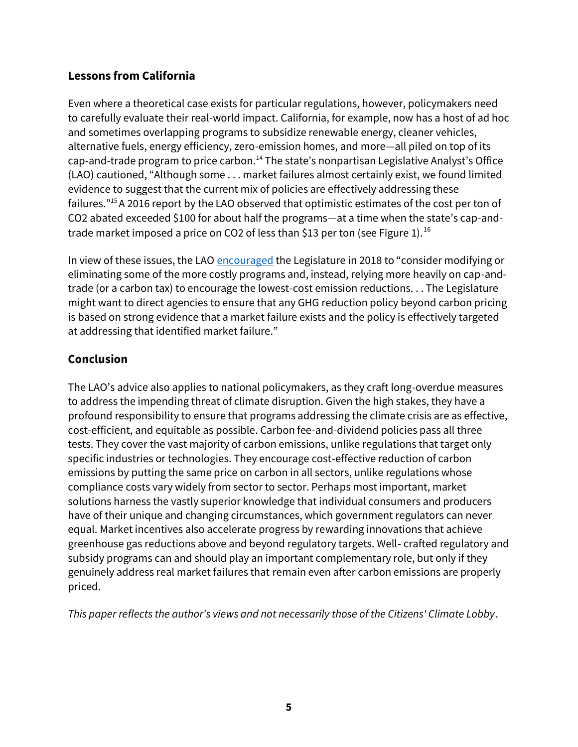## **Lessons from California**

Even where a theoretical case exists for particular regulations, however, policymakers need to carefully evaluate their real-world impact. California, for example, now has a host of ad hoc and sometimes overlapping programs to subsidize renewable energy, cleaner vehicles, alternative fuels, energy efficiency, zero-emission homes, and more—all piled on top of its cap-and-trade program to price carbon.<sup>14</sup> The state's nonpartisan Legislative Analyst's Office (LAO) cautioned, "Although some . . . market failures almost certainly exist, we found limited evidence to suggest that the current mix of policies are effectively addressing these failures."<sup>15</sup>A 2016 report by the LAO observed that optimistic estimates of the cost per ton of CO2 abated exceeded \$100 for about half the programs—at a time when the state's cap-andtrade market imposed a price on CO2 of less than \$13 per ton (see Figure 1).<sup>16</sup>

In view of these issues, the LA[O encouraged](https://lao.ca.gov/Publications/Report/3912) the Legislature in 2018 to "consider modifying or eliminating some of the more costly programs and, instead, relying more heavily on cap-andtrade (or a carbon tax) to encourage the lowest-cost emission reductions. . . The Legislature might want to direct agencies to ensure that any GHG reduction policy beyond carbon pricing is based on strong evidence that a market failure exists and the policy is effectively targeted at addressing that identified market failure."

## **Conclusion**

The LAO's advice also applies to national policymakers, as they craft long-overdue measures to address the impending threat of climate disruption. Given the high stakes, they have a profound responsibility to ensure that programs addressing the climate crisis are as effective, cost-efficient, and equitable as possible. Carbon fee-and-dividend policies pass all three tests. They cover the vast majority of carbon emissions, unlike regulations that target only specific industries or technologies. They encourage cost-effective reduction of carbon emissions by putting the same price on carbon in all sectors, unlike regulations whose compliance costs vary widely from sector to sector. Perhaps most important, market solutions harness the vastly superior knowledge that individual consumers and producers have of their unique and changing circumstances, which government regulators can never equal. Market incentives also accelerate progress by rewarding innovations that achieve greenhouse gas reductions above and beyond regulatory targets. Well- crafted regulatory and subsidy programs can and should play an important complementary role, but only if they genuinely address real market failures that remain even after carbon emissions are properly priced.

*This paper reflects the author's views and not necessarily those of the Citizens' Climate Lobby*.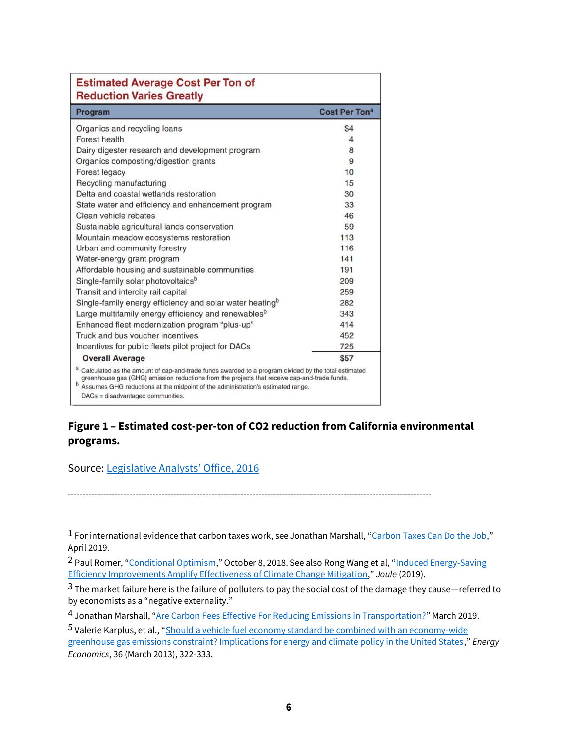| <b>Estimated Average Cost Per Ton of</b><br><b>Reduction Varies Greatly</b>                                                                                                                                                                                                                                                                |                      |
|--------------------------------------------------------------------------------------------------------------------------------------------------------------------------------------------------------------------------------------------------------------------------------------------------------------------------------------------|----------------------|
| Program                                                                                                                                                                                                                                                                                                                                    | <b>Cost Per Tona</b> |
| Organics and recycling loans                                                                                                                                                                                                                                                                                                               | \$4                  |
| Forest health                                                                                                                                                                                                                                                                                                                              | 4                    |
| Dairy digester research and development program                                                                                                                                                                                                                                                                                            | 8                    |
| Organics composting/digestion grants                                                                                                                                                                                                                                                                                                       | 9                    |
| Forest legacy                                                                                                                                                                                                                                                                                                                              | 10                   |
| Recycling manufacturing                                                                                                                                                                                                                                                                                                                    | 15                   |
| Delta and coastal wetlands restoration                                                                                                                                                                                                                                                                                                     | 30                   |
| State water and efficiency and enhancement program                                                                                                                                                                                                                                                                                         | 33                   |
| Clean vehicle rebates                                                                                                                                                                                                                                                                                                                      | 46                   |
| Sustainable agricultural lands conservation                                                                                                                                                                                                                                                                                                | 59                   |
| Mountain meadow ecosystems restoration                                                                                                                                                                                                                                                                                                     | 113                  |
| Urban and community forestry                                                                                                                                                                                                                                                                                                               | 116                  |
| Water-energy grant program                                                                                                                                                                                                                                                                                                                 | 141                  |
| Affordable housing and sustainable communities                                                                                                                                                                                                                                                                                             | 191                  |
| Single-family solar photovoltaics <sup>b</sup>                                                                                                                                                                                                                                                                                             | 209                  |
| Transit and intercity rail capital                                                                                                                                                                                                                                                                                                         | 259                  |
| Single-family energy efficiency and solar water heating <sup>b</sup>                                                                                                                                                                                                                                                                       | 282                  |
| Large multifamily energy efficiency and renewables <sup>b</sup>                                                                                                                                                                                                                                                                            | 343                  |
| Enhanced fleet modernization program "plus-up"                                                                                                                                                                                                                                                                                             | 414                  |
| Truck and bus voucher incentives                                                                                                                                                                                                                                                                                                           | 452                  |
| Incentives for public fleets pilot project for DACs                                                                                                                                                                                                                                                                                        | 725                  |
| <b>Overall Average</b>                                                                                                                                                                                                                                                                                                                     | <b>\$57</b>          |
| a Calculated as the amount of cap-and-trade funds awarded to a program divided by the total estimated<br>greenhouse gas (GHG) emission reductions from the projects that receive cap-and-trade funds.<br><sup>b</sup> Assumes GHG reductions at the midpoint of the administration's estimated range.<br>DACs = disadvantaged communities. |                      |

#### **Figure 1 – Estimated cost-per-ton of CO2 reduction from California environmental programs.**

----------------------------------------------------------------------------------------------------------------------------

Source: [Legislative Analysts' Office, 2016](https://lao.ca.gov/Publications/Report/3445)

1 For international evidence that carbon taxes work, see Jonathan Marshall, "[Carbon Taxes Can Do the Job](https://community.citizensclimate.org/content/resources/economics/carbon-taxes-can-do-the-job-economics-policy-network.pdf)," April 2019.

2 Paul Romer, "[Conditional Optimism](https://paulromer.net/conditional-optimism-technology-and-climate/)," October 8, 2018. See also Rong Wang et al, "[Induced Energy-Saving](http://dx.doi.org/10.1016/j.joule.2019.07.024)  [Efficiency Improvements Amplify Effectiveness of Climate Change Mitigation](http://dx.doi.org/10.1016/j.joule.2019.07.024)," *Joule* (2019).

 $3$  The market failure here is the failure of polluters to pay the social cost of the damage they cause—referred to by economists as a "negative externality."

4 Jonathan Marshall, "[Are Carbon Fees Effective For Reducing Emissions in Transportation?](https://community.citizensclimate.org/content/contents/training/Economics/EPN-Transportation-Paper-3-9-19.pdf)" March 2019.

5 Valerie Karplus, et al., "[Should a vehicle fuel economy standard be combined with an economy-wide](https://www.sciencedirect.com/science/article/pii/S0140988312002150)  [greenhouse gas emissions constraint? Implications for energy and climate policy in the United States](https://www.sciencedirect.com/science/article/pii/S0140988312002150)," *Energy Economics*, 36 (March 2013), 322-333.